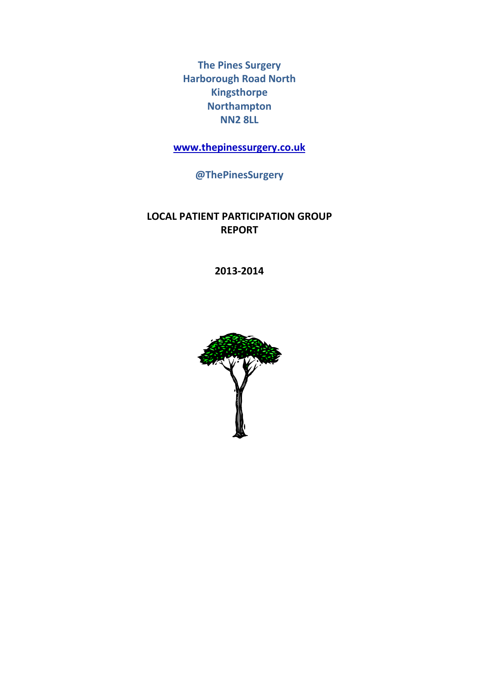The Pines Surgery Harborough Road North Kingsthorpe Northampton NN2 8LL

www.thepinessurgery.co.uk

@ThePinesSurgery

# LOCAL PATIENT PARTICIPATION GROUP REPORT

2013-2014

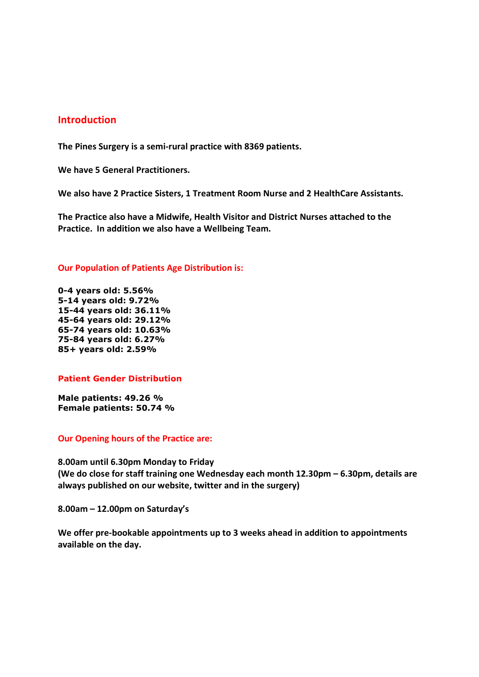# Introduction

The Pines Surgery is a semi-rural practice with 8369 patients.

We have 5 General Practitioners.

We also have 2 Practice Sisters, 1 Treatment Room Nurse and 2 HealthCare Assistants.

The Practice also have a Midwife, Health Visitor and District Nurses attached to the Practice. In addition we also have a Wellbeing Team.

#### Our Population of Patients Age Distribution is:

0-4 years old: 5.56% 5-14 years old: 9.72% 15-44 years old: 36.11% 45-64 years old: 29.12% 65-74 years old: 10.63% 75-84 years old: 6.27% 85+ years old: 2.59%

#### Patient Gender Distribution

Male patients: 49.26 % Female patients: 50.74 %

#### Our Opening hours of the Practice are:

8.00am until 6.30pm Monday to Friday (We do close for staff training one Wednesday each month 12.30pm – 6.30pm, details are always published on our website, twitter and in the surgery)

8.00am – 12.00pm on Saturday's

We offer pre-bookable appointments up to 3 weeks ahead in addition to appointments available on the day.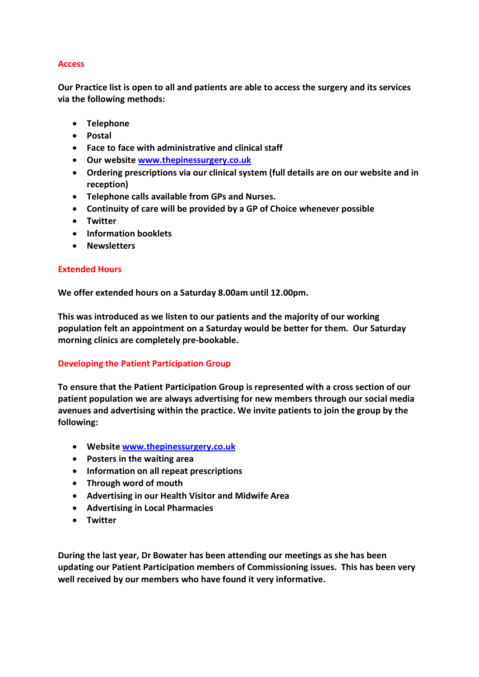# Access

Our Practice list is open to all and patients are able to access the surgery and its services via the following methods:

- Telephone
- Postal
- Face to face with administrative and clinical staff
- Our website www.thepinessurgery.co.uk
- Ordering prescriptions via our clinical system (full details are on our website and in reception)
- Telephone calls available from GPs and Nurses.
- Continuity of care will be provided by a GP of Choice whenever possible
- Twitter
- Information booklets
- Newsletters

### Extended Hours

We offer extended hours on a Saturday 8.00am until 12.00pm.

This was introduced as we listen to our patients and the majority of our working population felt an appointment on a Saturday would be better for them. Our Saturday morning clinics are completely pre-bookable.

# Developing the Patient Participation Group

To ensure that the Patient Participation Group is represented with a cross section of our patient population we are always advertising for new members through our social media avenues and advertising within the practice. We invite patients to join the group by the following:

- Website www.thepinessurgery.co.uk
- Posters in the waiting area
- Information on all repeat prescriptions
- Through word of mouth
- Advertising in our Health Visitor and Midwife Area
- Advertising in Local Pharmacies
- Twitter

During the last year, Dr Bowater has been attending our meetings as she has been updating our Patient Participation members of Commissioning issues. This has been very well received by our members who have found it very informative.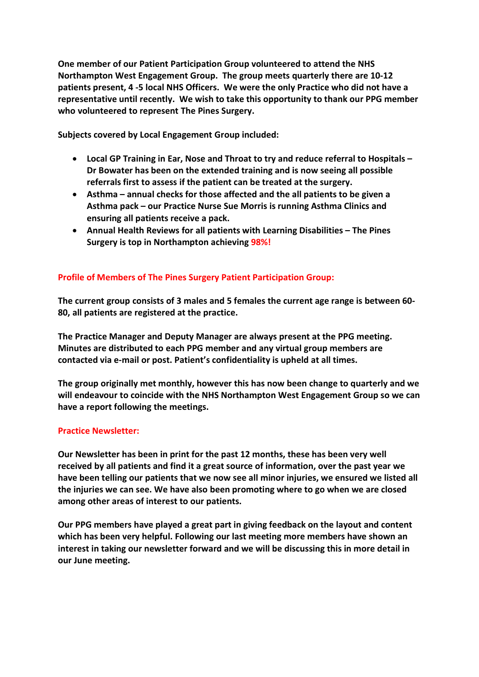One member of our Patient Participation Group volunteered to attend the NHS Northampton West Engagement Group. The group meets quarterly there are 10-12 patients present, 4 -5 local NHS Officers. We were the only Practice who did not have a representative until recently. We wish to take this opportunity to thank our PPG member who volunteered to represent The Pines Surgery.

Subjects covered by Local Engagement Group included:

- Local GP Training in Ear, Nose and Throat to try and reduce referral to Hospitals Dr Bowater has been on the extended training and is now seeing all possible referrals first to assess if the patient can be treated at the surgery.
- Asthma annual checks for those affected and the all patients to be given a Asthma pack – our Practice Nurse Sue Morris is running Asthma Clinics and ensuring all patients receive a pack.
- Annual Health Reviews for all patients with Learning Disabilities The Pines Surgery is top in Northampton achieving 98%!

# Profile of Members of The Pines Surgery Patient Participation Group:

The current group consists of 3 males and 5 females the current age range is between 60- 80, all patients are registered at the practice.

The Practice Manager and Deputy Manager are always present at the PPG meeting. Minutes are distributed to each PPG member and any virtual group members are contacted via e-mail or post. Patient's confidentiality is upheld at all times.

The group originally met monthly, however this has now been change to quarterly and we will endeavour to coincide with the NHS Northampton West Engagement Group so we can have a report following the meetings.

### Practice Newsletter:

Our Newsletter has been in print for the past 12 months, these has been very well received by all patients and find it a great source of information, over the past year we have been telling our patients that we now see all minor injuries, we ensured we listed all the injuries we can see. We have also been promoting where to go when we are closed among other areas of interest to our patients.

Our PPG members have played a great part in giving feedback on the layout and content which has been very helpful. Following our last meeting more members have shown an interest in taking our newsletter forward and we will be discussing this in more detail in our June meeting.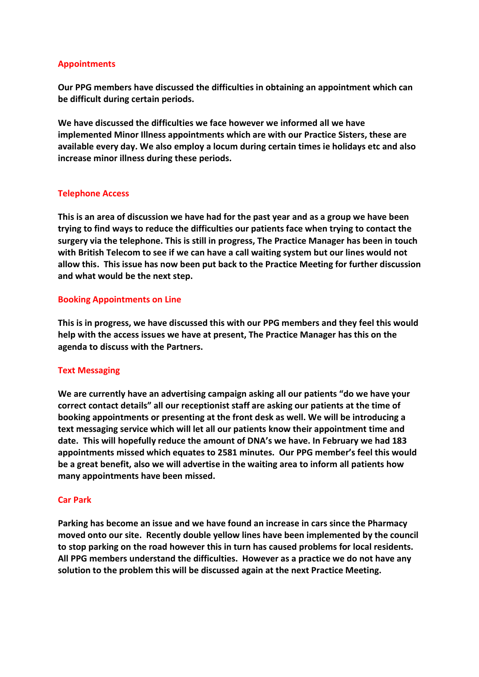## Appointments

Our PPG members have discussed the difficulties in obtaining an appointment which can be difficult during certain periods.

We have discussed the difficulties we face however we informed all we have implemented Minor Illness appointments which are with our Practice Sisters, these are available every day. We also employ a locum during certain times ie holidays etc and also increase minor illness during these periods.

## Telephone Access

This is an area of discussion we have had for the past year and as a group we have been trying to find ways to reduce the difficulties our patients face when trying to contact the surgery via the telephone. This is still in progress, The Practice Manager has been in touch with British Telecom to see if we can have a call waiting system but our lines would not allow this. This issue has now been put back to the Practice Meeting for further discussion and what would be the next step.

### Booking Appointments on Line

This is in progress, we have discussed this with our PPG members and they feel this would help with the access issues we have at present, The Practice Manager has this on the agenda to discuss with the Partners.

### Text Messaging

We are currently have an advertising campaign asking all our patients "do we have your correct contact details" all our receptionist staff are asking our patients at the time of booking appointments or presenting at the front desk as well. We will be introducing a text messaging service which will let all our patients know their appointment time and date. This will hopefully reduce the amount of DNA's we have. In February we had 183 appointments missed which equates to 2581 minutes. Our PPG member's feel this would be a great benefit, also we will advertise in the waiting area to inform all patients how many appointments have been missed.

### Car Park

Parking has become an issue and we have found an increase in cars since the Pharmacy moved onto our site. Recently double yellow lines have been implemented by the council to stop parking on the road however this in turn has caused problems for local residents. All PPG members understand the difficulties. However as a practice we do not have any solution to the problem this will be discussed again at the next Practice Meeting.